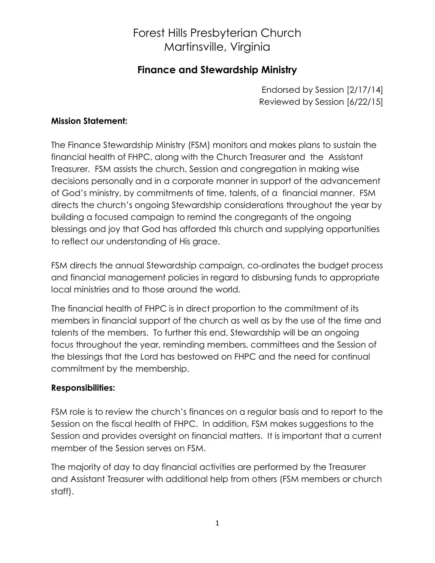# Forest Hills Presbyterian Church Martinsville, Virginia

### **Finance and Stewardship Ministry**

Endorsed by Session [2/17/14] Reviewed by Session [6/22/15]

#### **Mission Statement:**

The Finance Stewardship Ministry (FSM) monitors and makes plans to sustain the financial health of FHPC, along with the Church Treasurer and the Assistant Treasurer. FSM assists the church, Session and congregation in making wise decisions personally and in a corporate manner in support of the advancement of God's ministry, by commitments of time, talents, of a financial manner. FSM directs the church's ongoing Stewardship considerations throughout the year by building a focused campaign to remind the congregants of the ongoing blessings and joy that God has afforded this church and supplying opportunities to reflect our understanding of His grace.

FSM directs the annual Stewardship campaign, co-ordinates the budget process and financial management policies in regard to disbursing funds to appropriate local ministries and to those around the world.

The financial health of FHPC is in direct proportion to the commitment of its members in financial support of the church as well as by the use of the time and talents of the members. To further this end, Stewardship will be an ongoing focus throughout the year, reminding members, committees and the Session of the blessings that the Lord has bestowed on FHPC and the need for continual commitment by the membership.

### **Responsibilities:**

FSM role is to review the church's finances on a regular basis and to report to the Session on the fiscal health of FHPC. In addition, FSM makes suggestions to the Session and provides oversight on financial matters. It is important that a current member of the Session serves on FSM.

The majority of day to day financial activities are performed by the Treasurer and Assistant Treasurer with additional help from others (FSM members or church staff).